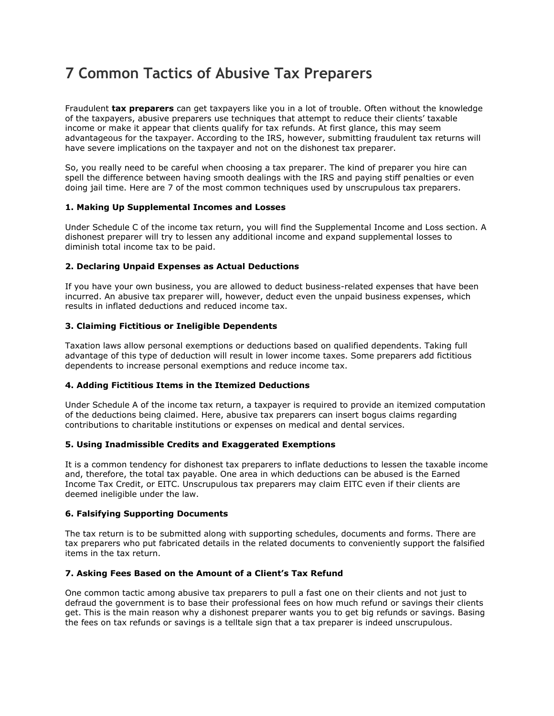# **7 Common Tactics of Abusive Tax Preparers**

Fraudulent **tax preparers** can get taxpayers like you in a lot of trouble. Often without the knowledge of the taxpayers, abusive preparers use techniques that attempt to reduce their clients' taxable income or make it appear that clients qualify for tax refunds. At first glance, this may seem advantageous for the taxpayer. According to the IRS, however, submitting fraudulent tax returns will have severe implications on the taxpayer and not on the dishonest tax preparer.

So, you really need to be careful when choosing a tax preparer. The kind of preparer you hire can spell the difference between having smooth dealings with the IRS and paying stiff penalties or even doing jail time. Here are 7 of the most common techniques used by unscrupulous tax preparers.

# **1. Making Up Supplemental Incomes and Losses**

Under Schedule C of the income tax return, you will find the Supplemental Income and Loss section. A dishonest preparer will try to lessen any additional income and expand supplemental losses to diminish total income tax to be paid.

# **2. Declaring Unpaid Expenses as Actual Deductions**

If you have your own business, you are allowed to deduct business-related expenses that have been incurred. An abusive tax preparer will, however, deduct even the unpaid business expenses, which results in inflated deductions and reduced income tax.

# **3. Claiming Fictitious or Ineligible Dependents**

Taxation laws allow personal exemptions or deductions based on qualified dependents. Taking full advantage of this type of deduction will result in lower income taxes. Some preparers add fictitious dependents to increase personal exemptions and reduce income tax.

# **4. Adding Fictitious Items in the Itemized Deductions**

Under Schedule A of the income tax return, a taxpayer is required to provide an itemized computation of the deductions being claimed. Here, abusive tax preparers can insert bogus claims regarding contributions to charitable institutions or expenses on medical and dental services.

## **5. Using Inadmissible Credits and Exaggerated Exemptions**

It is a common tendency for dishonest tax preparers to inflate deductions to lessen the taxable income and, therefore, the total tax payable. One area in which deductions can be abused is the Earned Income Tax Credit, or EITC. Unscrupulous tax preparers may claim EITC even if their clients are deemed ineligible under the law.

## **6. Falsifying Supporting Documents**

The tax return is to be submitted along with supporting schedules, documents and forms. There are tax preparers who put fabricated details in the related documents to conveniently support the falsified items in the tax return.

## **7. Asking Fees Based on the Amount of a Client's Tax Refund**

One common tactic among abusive tax preparers to pull a fast one on their clients and not just to defraud the government is to base their professional fees on how much refund or savings their clients get. This is the main reason why a dishonest preparer wants you to get big refunds or savings. Basing the fees on tax refunds or savings is a telltale sign that a tax preparer is indeed unscrupulous.